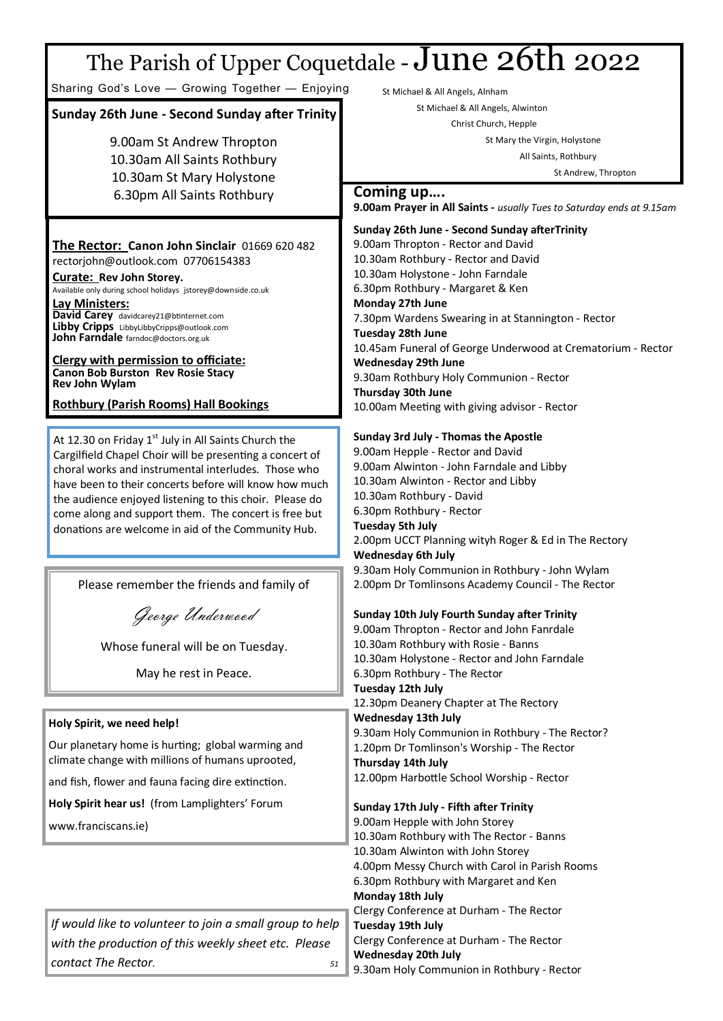# The Parish of Upper Coquetdale -  $June$  26th 2022

Sharing God's Love — Growing Together — Enjoying

### **Sunday 26th June - Second Sunday after Trinity**

9.00am St Andrew Thropton 10.30am All Saints Rothbury 10.30am St Mary Holystone 6.30pm All Saints Rothbury

## **The Rector: Canon John Sinclair** 01669 620 482

rectorjohn@outlook.com 07706154383 **Curate: Rev John Storey.** 

Available only during school holidays jstorey@downside.co.uk **Lay Ministers: David Carey** [davidcarey21@btinternet.com](mailto:davidcarey21@btinternet.com) **Libby Cripps** LibbyLibbyCripps@outlook.com

**John Farndale** farndoc@doctors.org.uk

**Clergy with permission to officiate: Canon Bob Burston Rev Rosie Stacy Rev John Wylam**

### **Rothbury (Parish Rooms) Hall Bookings**

At 12.30 on Friday  $1<sup>st</sup>$  July in All Saints Church the Cargilfield Chapel Choir will be presenting a concert of choral works and instrumental interludes. Those who have been to their concerts before will know how much the audience enjoyed listening to this choir. Please do come along and support them. The concert is free but donations are welcome in aid of the Community Hub.

Please remember the friends and family of

George Underwood

Whose funeral will be on Tuesday.

May he rest in Peace.

### **Holy Spirit, we need help!**

Our planetary home is hurting; global warming and climate change with millions of humans uprooted,

and fish, flower and fauna facing dire extinction.

**Holy Spirit hear us!** (from Lamplighters' Forum

www.franciscans.ie)

*If would like to volunteer to join a small group to help with the production of this weekly sheet etc. Please*   $contact$  The Rector.

St Michael & All Angels, Alnham

St Michael & All Angels, Alwinton

Christ Church, Hepple

St Mary the Virgin, Holystone All Saints, Rothbury

St Andrew, Thropton

### **Coming up….**

**9.00am Prayer in All Saints -** *usually Tues to Saturday ends at 9.15am*

**Sunday 26th June - Second Sunday afterTrinity** 9.00am Thropton - Rector and David 10.30am Rothbury - Rector and David 10.30am Holystone - John Farndale 6.30pm Rothbury - Margaret & Ken **Monday 27th June** 7.30pm Wardens Swearing in at Stannington - Rector **Tuesday 28th June** 10.45am Funeral of George Underwood at Crematorium - Rector **Wednesday 29th June** 9.30am Rothbury Holy Communion - Rector **Thursday 30th June** 10.00am Meeting with giving advisor - Rector

### **Sunday 3rd July - Thomas the Apostle**

9.00am Hepple - Rector and David 9.00am Alwinton - John Farndale and Libby 10.30am Alwinton - Rector and Libby 10.30am Rothbury - David 6.30pm Rothbury - Rector **Tuesday 5th July** 2.00pm UCCT Planning wityh Roger & Ed in The Rectory **Wednesday 6th July** 9.30am Holy Communion in Rothbury - John Wylam 2.00pm Dr Tomlinsons Academy Council - The Rector **Sunday 10th July Fourth Sunday after Trinity** 9.00am Thropton - Rector and John Fanrdale

10.30am Rothbury with Rosie - Banns 10.30am Holystone - Rector and John Farndale 6.30pm Rothbury - The Rector **Tuesday 12th July** 12.30pm Deanery Chapter at The Rectory **Wednesday 13th July** 9.30am Holy Communion in Rothbury - The Rector? 1.20pm Dr Tomlinson's Worship - The Rector **Thursday 14th July** 12.00pm Harbottle School Worship - Rector **Sunday 17th July - Fifth after Trinity** 9.00am Hepple with John Storey 10.30am Rothbury with The Rector - Banns 10.30am Alwinton with John Storey 4.00pm Messy Church with Carol in Parish Rooms 6.30pm Rothbury with Margaret and Ken **Monday 18th July** Clergy Conference at Durham - The Rector **Tuesday 19th July**  Clergy Conference at Durham - The Rector **Wednesday 20th July** 9.30am Holy Communion in Rothbury - Rector